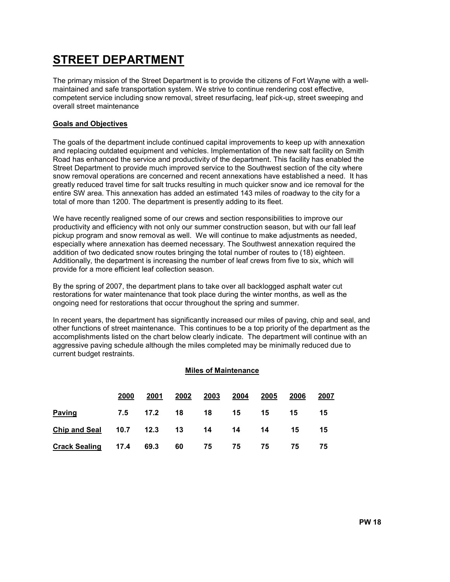# STREET DEPARTMENT

The primary mission of the Street Department is to provide the citizens of Fort Wayne with a wellmaintained and safe transportation system. We strive to continue rendering cost effective, competent service including snow removal, street resurfacing, leaf pick-up, street sweeping and overall street maintenance

#### Goals and Objectives

The goals of the department include continued capital improvements to keep up with annexation and replacing outdated equipment and vehicles. Implementation of the new salt facility on Smith Road has enhanced the service and productivity of the department. This facility has enabled the Street Department to provide much improved service to the Southwest section of the city where snow removal operations are concerned and recent annexations have established a need. It has greatly reduced travel time for salt trucks resulting in much quicker snow and ice removal for the entire SW area. This annexation has added an estimated 143 miles of roadway to the city for a total of more than 1200. The department is presently adding to its fleet.

We have recently realigned some of our crews and section responsibilities to improve our productivity and efficiency with not only our summer construction season, but with our fall leaf pickup program and snow removal as well. We will continue to make adjustments as needed, especially where annexation has deemed necessary. The Southwest annexation required the addition of two dedicated snow routes bringing the total number of routes to (18) eighteen. Additionally, the department is increasing the number of leaf crews from five to six, which will provide for a more efficient leaf collection season.

By the spring of 2007, the department plans to take over all backlogged asphalt water cut restorations for water maintenance that took place during the winter months, as well as the ongoing need for restorations that occur throughout the spring and summer.

In recent years, the department has significantly increased our miles of paving, chip and seal, and other functions of street maintenance. This continues to be a top priority of the department as the accomplishments listed on the chart below clearly indicate. The department will continue with an aggressive paving schedule although the miles completed may be minimally reduced due to current budget restraints.

#### Miles of Maintenance

|                                           | 2000 | 2001                    | 2002 | 2003 | 2004        | 2005 | 2006 | 2007 |
|-------------------------------------------|------|-------------------------|------|------|-------------|------|------|------|
| <b>Paving</b>                             |      | 7.5 17.2 18 18 15 15 15 |      |      |             |      |      | - 15 |
| Chip and Seal 10.7 12.3 13 14 14 14 15 15 |      |                         |      |      |             |      |      |      |
| <b>Crack Sealing 17.4</b>                 |      | 69.3                    |      |      | 60 75 75 75 |      | 75   | 75   |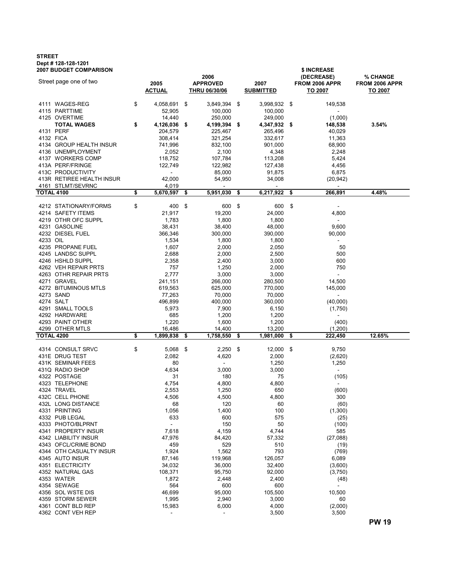## STREET Dept # 128-128-1201

| <b>2007 BUDGET COMPARISON</b>   |    |                          |      |                          |      | \$ INCREASE        |                                 |                 |
|---------------------------------|----|--------------------------|------|--------------------------|------|--------------------|---------------------------------|-----------------|
| Street page one of two          |    |                          |      | 2006                     |      |                    | (DECREASE)                      | <b>% CHANGE</b> |
|                                 |    | 2005                     |      | <b>APPROVED</b>          |      | 2007               | FROM 2006 APPR                  | FROM 2006 APPR  |
|                                 |    | <b>ACTUAL</b>            |      | <b>THRU 06/30/06</b>     |      | <b>SUBMITTED</b>   | <u>TO 2007</u>                  | TO 2007         |
|                                 |    |                          |      |                          |      |                    |                                 |                 |
| 4111 WAGES-REG<br>4115 PARTTIME | \$ | 4,058,691                | \$   | 3,849,394 \$             |      | 3,998,932          | \$<br>149,538<br>$\blacksquare$ |                 |
| 4125 OVERTIME                   |    | 52,905<br>14,440         |      | 100,000<br>250,000       |      | 100,000<br>249,000 | (1,000)                         |                 |
| <b>TOTAL WAGES</b>              | \$ | 4,126,036                | - \$ | 4,199,394                | - \$ | 4,347,932 \$       | 148,538                         | 3.54%           |
| 4131 PERF                       |    | 204,579                  |      | 225,467                  |      | 265,496            | 40,029                          |                 |
| 4132 FICA                       |    | 308,414                  |      | 321,254                  |      | 332,617            | 11,363                          |                 |
| 4134 GROUP HEALTH INSUR         |    | 741,996                  |      | 832,100                  |      | 901,000            | 68,900                          |                 |
| 4136 UNEMPLOYMENT               |    | 2,052                    |      | 2,100                    |      | 4,348              | 2,248                           |                 |
| 4137 WORKERS COMP               |    | 118,752                  |      | 107,784                  |      | 113,208            | 5,424                           |                 |
| 413A PERF/FRINGE                |    | 122,749                  |      | 122,982                  |      | 127,438            | 4,456                           |                 |
| 413C PRODUCTIVITY               |    | $\overline{\phantom{a}}$ |      | 85,000                   |      | 91,875             | 6,875                           |                 |
| 413R RETIREE HEALTH INSUR       |    | 42,000                   |      | 54,950                   |      | 34,008             | (20,942)                        |                 |
| 4161 STLMT/SEVRNC               |    | 4,019                    |      | $\blacksquare$           |      | $\blacksquare$     | $\sim$                          |                 |
| <b>TOTAL 4100</b>               | \$ | 5,670,597                | \$   | 5,951,030                | \$   | 6,217,922          | \$<br>266,891                   | 4.48%           |
|                                 |    |                          |      |                          |      |                    |                                 |                 |
| 4212 STATIONARY/FORMS           | \$ | 400                      | \$   | 600                      | -\$  | 600                | \$<br>$\overline{\phantom{a}}$  |                 |
| 4214 SAFETY ITEMS               |    | 21,917                   |      | 19,200                   |      | 24,000             | 4,800                           |                 |
| 4219 OTHR OFC SUPPL             |    | 1,783                    |      | 1,800                    |      | 1,800              | $\mathcal{L}_{\mathcal{A}}$     |                 |
| 4231 GASOLINE                   |    | 38,431                   |      | 38,400                   |      | 48,000             | 9,600                           |                 |
| 4232 DIESEL FUEL                |    | 366,346                  |      | 300,000                  |      | 390,000            | 90,000                          |                 |
| 4233 OIL                        |    | 1,534                    |      | 1,800                    |      | 1,800              | $\blacksquare$                  |                 |
| 4235 PROPANE FUEL               |    | 1,607                    |      | 2,000                    |      | 2,050              | 50                              |                 |
| 4245 LANDSC SUPPL               |    | 2,688                    |      | 2,000                    |      | 2,500              | 500                             |                 |
| 4246 HSHLD SUPPL                |    | 2,358                    |      | 2,400                    |      | 3,000              | 600                             |                 |
| 4262 VEH REPAIR PRTS            |    | 757                      |      | 1,250                    |      | 2,000              | 750                             |                 |
| 4263 OTHR REPAIR PRTS           |    | 2,777                    |      | 3,000                    |      | 3,000              | $\mathbf{r}$                    |                 |
| 4271 GRAVEL                     |    | 241,151                  |      | 266,000                  |      | 280,500            | 14,500                          |                 |
| 4272 BITUMINOUS MTLS            |    | 619,563                  |      | 625,000                  |      | 770,000            | 145,000                         |                 |
| 4273 SAND                       |    | 77,263                   |      | 70,000                   |      | 70,000             |                                 |                 |
| 4274 SALT                       |    | 496,899                  |      | 400,000                  |      | 360,000            | (40,000)                        |                 |
| 4291 SMALL TOOLS                |    | 5,973                    |      | 7,900                    |      | 6,150              | (1,750)                         |                 |
| 4292 HARDWARE                   |    | 685                      |      | 1,200                    |      | 1,200              | $\blacksquare$                  |                 |
| 4293 PAINT OTHER                |    | 1,220                    |      | 1,600                    |      | 1,200              | (400)                           |                 |
| 4299 OTHER MTLS                 |    | 16,486                   |      | 14,400                   |      | 13,200             | (1,200)                         |                 |
| <b>TOTAL 4200</b>               | \$ | 1,899,838                | \$   | 1,758,550                | \$   | 1,981,000          | \$<br>222,450                   | 12.65%          |
|                                 |    |                          |      |                          |      |                    |                                 |                 |
| 4314 CONSULT SRVC               | \$ | $5,068$ \$               |      | 2,250                    | -\$  | 12,000             | \$<br>9,750                     |                 |
| 431E DRUG TEST                  |    | 2,082                    |      | 4,620                    |      | 2,000              | (2,620)                         |                 |
| 431K SEMINAR FEES               |    | 80                       |      | $\blacksquare$           |      | 1,250              | 1,250                           |                 |
| 431Q RADIO SHOP                 |    | 4,634                    |      | 3,000                    |      | 3,000              | $\overline{\phantom{a}}$        |                 |
| 4322 POSTAGE                    |    | 31                       |      | 180                      |      | 75                 | (105)                           |                 |
| 4323 TELEPHONE                  |    | 4,754                    |      | 4,800                    |      | 4,800              |                                 |                 |
| 4324 TRAVEL                     |    | 2,553                    |      | 1,250                    |      | 650                | (600)                           |                 |
| 432C CELL PHONE                 |    | 4,506                    |      | 4,500                    |      | 4,800              | 300                             |                 |
| 432L LONG DISTANCE              |    | 68                       |      | 120                      |      | 60                 | (60)                            |                 |
| 4331 PRINTING                   |    | 1,056                    |      | 1,400                    |      | 100                | (1,300)                         |                 |
| 4332 PUB LEGAL                  |    | 633                      |      | 600                      |      | 575                | (25)                            |                 |
| 4333 PHOTO/BLPRNT               |    | $\overline{\phantom{a}}$ |      | 150                      |      | 50                 | (100)                           |                 |
| 4341 PROPERTY INSUR             |    | 7,618                    |      | 4,159                    |      | 4,744              | 585                             |                 |
| 4342 LIABILITY INSUR            |    | 47,976                   |      | 84,420                   |      | 57,332             | (27,088)                        |                 |
| 4343 OFCL/CRIME BOND            |    | 459                      |      | 529                      |      | 510                | (19)                            |                 |
| 4344 OTH CASUALTY INSUR         |    | 1,924                    |      | 1,562                    |      | 793                | (769)                           |                 |
| 4345 AUTO INSUR                 |    | 87,146                   |      | 119,968                  |      | 126,057            | 6,089                           |                 |
| 4351 ELECTRICITY                |    | 34,032                   |      | 36,000                   |      | 32,400             | (3,600)                         |                 |
| 4352 NATURAL GAS                |    | 108,371                  |      | 95,750                   |      | 92,000             | (3,750)                         |                 |
| 4353 WATER                      |    | 1,872                    |      | 2,448                    |      | 2,400              | (48)                            |                 |
| 4354 SEWAGE                     |    | 564                      |      | 600                      |      | 600                | $\sim$                          |                 |
| 4356 SOL WSTE DIS               |    | 46,699                   |      | 95,000                   |      | 105,500            | 10,500                          |                 |
| 4359 STORM SEWER                |    | 1,995                    |      | 2,940                    |      | 3,000              | 60                              |                 |
| 4361 CONT BLD REP               |    | 15,983                   |      | 6,000                    |      | 4,000              | (2,000)                         |                 |
| 4362 CONT VEH REP               |    | $\blacksquare$           |      | $\overline{\phantom{a}}$ |      | 3,500              | 3,500                           |                 |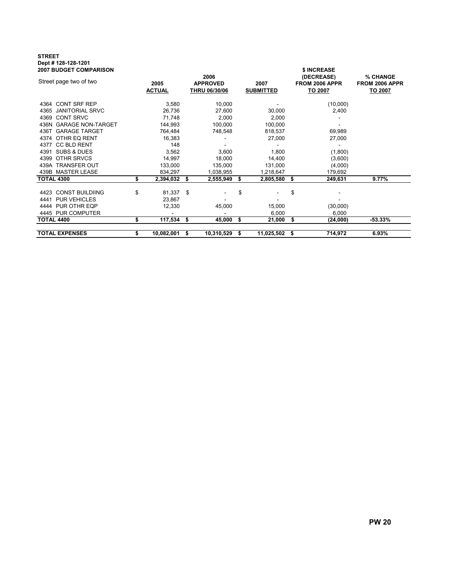## STREET Dept # 128-128-1201

| <b>2007 BUDGET COMPARISON</b> |    |                       |    |                                                 |                          |            |                                                | \$ INCREASE                           |           |
|-------------------------------|----|-----------------------|----|-------------------------------------------------|--------------------------|------------|------------------------------------------------|---------------------------------------|-----------|
| Street page two of two        |    | 2005<br><b>ACTUAL</b> |    | 2006<br><b>APPROVED</b><br><b>THRU 06/30/06</b> | 2007<br><b>SUBMITTED</b> |            | (DECREASE)<br><b>FROM 2006 APPR</b><br>TO 2007 | % CHANGE<br>FROM 2006 APPR<br>TO 2007 |           |
| 4364 CONT SRF REP             |    | 3,580                 |    | 10,000                                          |                          |            |                                                | (10,000)                              |           |
| 4365 JANITORIAL SRVC          |    | 26,736                |    | 27,600                                          |                          | 30,000     |                                                | 2,400                                 |           |
| 4369 CONT SRVC                |    | 71,748                |    | 2,000                                           |                          | 2,000      |                                                |                                       |           |
| 436N GARAGE NON-TARGET        |    | 144,993               |    | 100,000                                         |                          | 100,000    |                                                |                                       |           |
| 436T GARAGE TARGET            |    | 764,484               |    | 748,548                                         |                          | 818,537    |                                                | 69,989                                |           |
| 4374 OTHR EQ RENT             |    | 16,383                |    |                                                 |                          | 27,000     |                                                | 27,000                                |           |
| 4377 CC BLD RENT              |    | 148                   |    |                                                 |                          |            |                                                |                                       |           |
| 4391 SUBS & DUES              |    | 3,562                 |    | 3,600                                           |                          | 1,800      |                                                | (1,800)                               |           |
| 4399 OTHR SRVCS               |    | 14,997                |    | 18,000                                          |                          | 14,400     |                                                | (3,600)                               |           |
| 439A TRANSFER OUT             |    | 133,000               |    | 135,000                                         |                          | 131,000    |                                                | (4,000)                               |           |
| 439B MASTER LEASE             |    | 834,297               |    | 1,038,955                                       |                          | 1,218,647  |                                                | 179,692                               |           |
| <b>TOTAL 4300</b>             | \$ | 2,394,032             | \$ | 2,555,949                                       | S.                       | 2,805,580  | \$                                             | 249,631                               | 9.77%     |
| 4423 CONST BUILDIING          | \$ | 81,337 \$             |    | $\overline{\phantom{a}}$                        | \$                       |            | \$                                             |                                       |           |
| 4441 PUR VEHICLES             |    | 23,867                |    |                                                 |                          |            |                                                |                                       |           |
| 4444 PUR OTHR EQP             |    | 12,330                |    | 45,000                                          |                          | 15,000     |                                                | (30,000)                              |           |
| 4445 PUR COMPUTER             |    |                       |    |                                                 |                          | 6,000      |                                                | 6,000                                 |           |
| TOTAL 4400                    | \$ | $117,534$ \$          |    | 45,000                                          | \$                       | 21,000     | \$                                             | (24,000)                              | $-53.33%$ |
|                               |    |                       |    |                                                 |                          |            |                                                |                                       |           |
| <b>TOTAL EXPENSES</b>         | \$ | 10,082,001            | S  | 10,310,529                                      | S.                       | 11,025,502 | S                                              | 714,972                               | 6.93%     |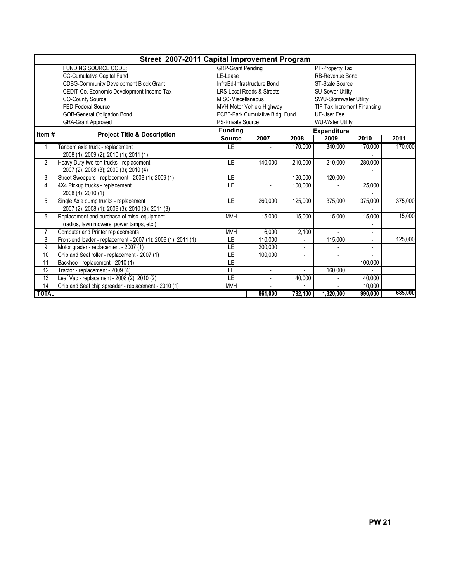|                | Street 2007-2011 Capital Improvement Program                  |                          |                                      |                          |                             |                |         |  |  |  |  |
|----------------|---------------------------------------------------------------|--------------------------|--------------------------------------|--------------------------|-----------------------------|----------------|---------|--|--|--|--|
|                | <b>FUNDING SOURCE CODE:</b>                                   | <b>GRP-Grant Pending</b> |                                      |                          | PT-Property Tax             |                |         |  |  |  |  |
|                | <b>CC-Cumulative Capital Fund</b>                             | LE-Lease                 |                                      |                          | RB-Revenue Bond             |                |         |  |  |  |  |
|                | <b>CDBG-Community Development Block Grant</b>                 |                          | InfraBd-Infrastructure Bond          |                          | ST-State Source             |                |         |  |  |  |  |
|                | CEDIT-Co. Economic Development Income Tax                     |                          | <b>LRS-Local Roads &amp; Streets</b> |                          | <b>SU-Sewer Utility</b>     |                |         |  |  |  |  |
|                | CO-County Source                                              | MISC-Miscellaneous       |                                      |                          | SWU-Stormwater Utility      |                |         |  |  |  |  |
|                | FED-Federal Source                                            |                          | MVH-Motor Vehicle Highway            |                          | TIF-Tax Increment Financing |                |         |  |  |  |  |
|                | <b>GOB-General Obligation Bond</b>                            |                          | PCBF-Park Cumulative Bldg. Fund      |                          | UF-User Fee                 |                |         |  |  |  |  |
|                | <b>GRA-Grant Approved</b>                                     | <b>PS-Private Source</b> |                                      |                          | <b>WU-Water Utility</b>     |                |         |  |  |  |  |
|                |                                                               | <b>Funding</b>           |                                      |                          | <b>Expenditure</b>          |                |         |  |  |  |  |
| Item#          | <b>Project Title &amp; Description</b>                        | <b>Source</b>            | 2007                                 | 2008                     | 2009                        | 2010           | 2011    |  |  |  |  |
| 1              | Tandem axle truck - replacement                               | <b>LE</b>                |                                      | 170,000                  | 340,000                     | 170,000        | 170,000 |  |  |  |  |
|                | 2008 (1); 2009 (2); 2010 (1); 2011 (1)                        |                          |                                      |                          |                             |                |         |  |  |  |  |
| 2              | Heavy Duty two-ton trucks - replacement                       | LE.                      | 140,000                              | 210,000                  | 210,000                     | 280,000        |         |  |  |  |  |
|                | 2007 (2); 2008 (3); 2009 (3); 2010 (4)                        |                          |                                      |                          |                             |                |         |  |  |  |  |
| 3              | Street Sweepers - replacement - 2008 (1); 2009 (1)            | LE.                      |                                      | 120,000                  | 120,000                     |                |         |  |  |  |  |
| 4              | 4X4 Pickup trucks - replacement                               | LE.                      | $\frac{1}{2}$                        | 100,000                  |                             | 25,000         |         |  |  |  |  |
|                | 2008 (4); 2010 (1)                                            |                          |                                      |                          |                             |                |         |  |  |  |  |
| 5              | Single Axle dump trucks - replacement                         | LE.                      | 260,000                              | 125,000                  | 375,000                     | 375,000        | 375,000 |  |  |  |  |
|                | 2007 (2); 2008 (1); 2009 (3); 2010 (3); 2011 (3)              |                          |                                      |                          |                             |                |         |  |  |  |  |
| 6              | Replacement and purchase of misc. equipment                   | <b>MVH</b>               | 15,000                               | 15,000                   | 15,000                      | 15,000         | 15,000  |  |  |  |  |
|                | (radios, lawn mowers, power tamps, etc.)                      |                          |                                      |                          |                             |                |         |  |  |  |  |
| $\overline{7}$ | Computer and Printer replacements                             | <b>MVH</b>               | 6,000                                | 2,100                    | $\sim$                      | $\mathbf{r}$   |         |  |  |  |  |
| 8              | Front-end loader - replacement - 2007 (1); 2009 (1); 2011 (1) | LE                       | 110,000                              | ÷.                       | 115,000                     | $\overline{a}$ | 125,000 |  |  |  |  |
| 9              | Motor grader - replacement - 2007 (1)                         | LE.                      | 200.000                              |                          |                             |                |         |  |  |  |  |
| 10             | Chip and Seal roller - replacement - 2007 (1)                 | <b>LE</b>                | 100,000                              | $\overline{\phantom{a}}$ |                             |                |         |  |  |  |  |
| 11             | Backhoe - replacement - 2010 (1)                              | E                        |                                      | $\blacksquare$           |                             | 100,000        |         |  |  |  |  |
| 12             | Tractor - replacement - 2009 (4)                              | LE                       | $\blacksquare$                       |                          | 160,000                     |                |         |  |  |  |  |
| 13             | Leaf Vac - replacement - 2008 (2); 2010 (2)                   | <b>LE</b>                | $\overline{a}$                       | 40,000                   |                             | 40.000         |         |  |  |  |  |
| 14             | Chip and Seal chip spreader - replacement - 2010 (1)          | <b>MVH</b>               |                                      |                          |                             | 10.000         |         |  |  |  |  |
| <b>TOTAL</b>   |                                                               |                          | 861,000                              | 782,100                  | 1,320,000                   | 990,000        | 685,000 |  |  |  |  |